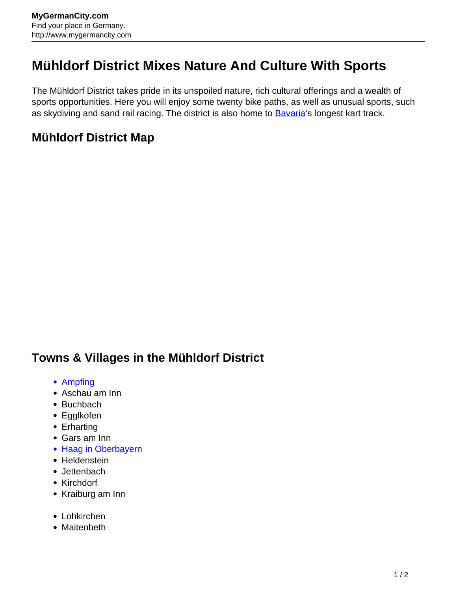## **Mühldorf District Mixes Nature And Culture With Sports**

The Mühldorf District takes pride in its unspoiled nature, rich cultural offerings and a wealth of sports opportunities. Here you will enjoy some twenty bike paths, as well as unusual sports, such as skydiving and sand rail racing. The district is also home to **[Bavaria](http://www.mygermancity.com/bavaria)'s longest kart track**.

## **Mühldorf District Map**

## **Towns & Villages in the Mühldorf District**

- [Ampfing](http://www.mygermancity.com/ampfing)
- Aschau am Inn
- Buchbach
- Egglkofen
- Erharting
- Gars am Inn
- [Haag in Oberbayern](http://www.mygermancity.com/haag-oberbayern)
- Heldenstein
- Jettenbach
- Kirchdorf
- Kraiburg am Inn
- Lohkirchen
- Maitenbeth